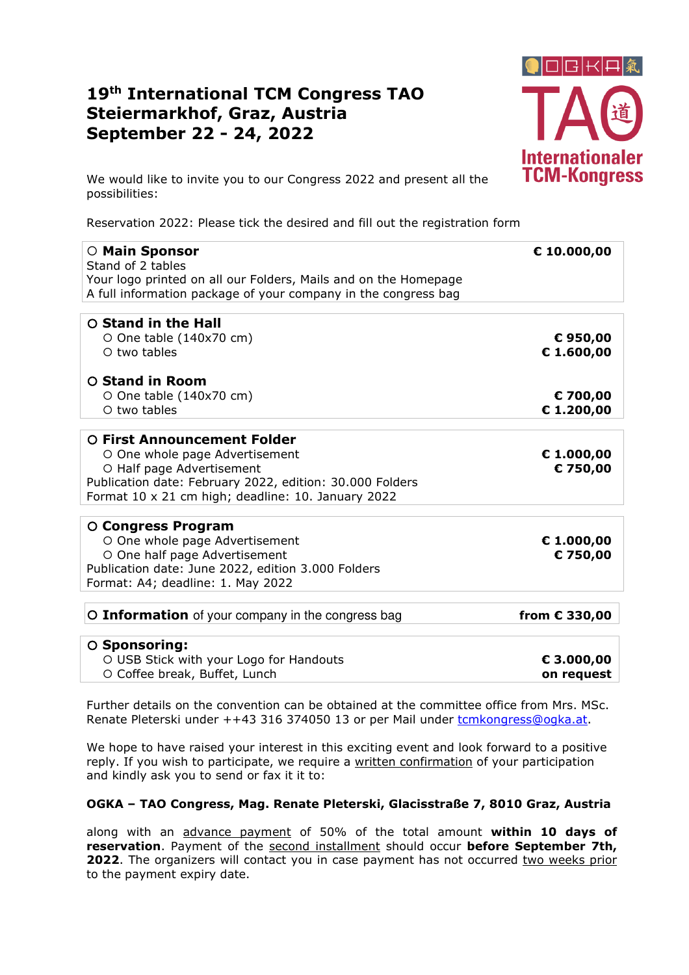## **19th International TCM Congress TAO Steiermarkhof, Graz, Austria September 22 - 24, 2022**



We would like to invite you to our Congress 2022 and present all the possibilities:

Reservation 2022: Please tick the desired and fill out the registration form

| ○ Main Sponsor<br>Stand of 2 tables<br>Your logo printed on all our Folders, Mails and on the Homepage<br>A full information package of your company in the congress bag                                     | € 10.000,00                      |
|--------------------------------------------------------------------------------------------------------------------------------------------------------------------------------------------------------------|----------------------------------|
| O Stand in the Hall<br>$O$ One table (140x70 cm)<br>$O$ two tables<br>O Stand in Room<br>$O$ One table (140x70 cm)                                                                                           | €950,00<br>€ 1.600,00<br>€700,00 |
| $\circ$ two tables                                                                                                                                                                                           | € 1.200,00                       |
| O First Announcement Folder<br>O One whole page Advertisement<br>O Half page Advertisement<br>Publication date: February 2022, edition: 30.000 Folders<br>Format 10 x 21 cm high; deadline: 10. January 2022 | € 1.000,00<br>€750,00            |
| <b>O Congress Program</b><br>O One whole page Advertisement<br>O One half page Advertisement<br>Publication date: June 2022, edition 3.000 Folders<br>Format: A4; deadline: 1. May 2022                      | € $1.000,00$<br>€750,00          |
| O Information of your company in the congress bag                                                                                                                                                            | from € 330,00                    |
| ○ Sponsoring:<br>O USB Stick with your Logo for Handouts<br>O Coffee break, Buffet, Lunch                                                                                                                    | € 3.000,00<br>on request         |

Further details on the convention can be obtained at the committee office from Mrs. MSc. Renate Pleterski under ++43 316 374050 13 or per Mail under tcmkongress@ogka.at.

We hope to have raised your interest in this exciting event and look forward to a positive reply. If you wish to participate, we require a written confirmation of your participation and kindly ask you to send or fax it it to:

## **OGKA – TAO Congress, Mag. Renate Pleterski, Glacisstraße 7, 8010 Graz, Austria**

along with an advance payment of 50% of the total amount **within 10 days of reservation**. Payment of the second installment should occur **before September 7th, 2022**. The organizers will contact you in case payment has not occurred two weeks prior to the payment expiry date.